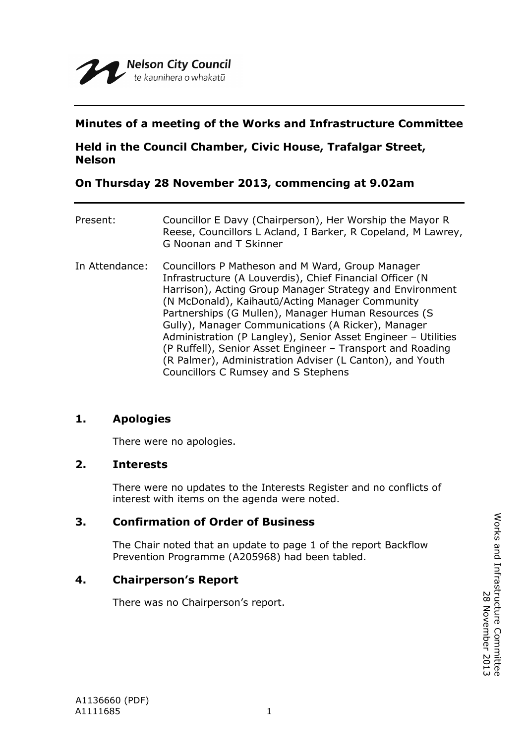# **Minutes of a meeting of the Works and Infrastructure Committee**

# **Held in the Council Chamber, Civic House, Trafalgar Street, Nelson**

# **On Thursday 28 November 2013, commencing at 9.02am**

| Present:       | Councillor E Davy (Chairperson), Her Worship the Mayor R<br>Reese, Councillors L Acland, I Barker, R Copeland, M Lawrey,<br>G Noonan and T Skinner                                                                                                                                                                                                                                                                                                                                                                                                                         |
|----------------|----------------------------------------------------------------------------------------------------------------------------------------------------------------------------------------------------------------------------------------------------------------------------------------------------------------------------------------------------------------------------------------------------------------------------------------------------------------------------------------------------------------------------------------------------------------------------|
| In Attendance: | Councillors P Matheson and M Ward, Group Manager<br>Infrastructure (A Louverdis), Chief Financial Officer (N<br>Harrison), Acting Group Manager Strategy and Environment<br>(N McDonald), Kaihautū/Acting Manager Community<br>Partnerships (G Mullen), Manager Human Resources (S<br>Gully), Manager Communications (A Ricker), Manager<br>Administration (P Langley), Senior Asset Engineer - Utilities<br>(P Ruffell), Senior Asset Engineer - Transport and Roading<br>(R Palmer), Administration Adviser (L Canton), and Youth<br>Councillors C Rumsey and S Stephens |

## **1. Apologies**

There were no apologies.

## **2. Interests**

There were no updates to the Interests Register and no conflicts of interest with items on the agenda were noted.

## **3. Confirmation of Order of Business**

The Chair noted that an update to page 1 of the report Backflow Prevention Programme (A205968) had been tabled.

## **4. Chairperson's Report**

There was no Chairperson's report.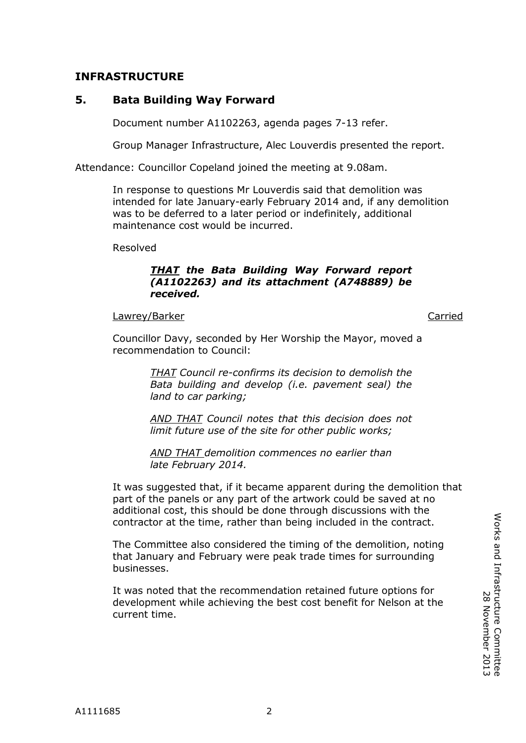# **INFRASTRUCTURE**

# **5. Bata Building Way Forward**

Document number A1102263, agenda pages 7-13 refer.

Group Manager Infrastructure, Alec Louverdis presented the report.

Attendance: Councillor Copeland joined the meeting at 9.08am.

In response to questions Mr Louverdis said that demolition was intended for late January-early February 2014 and, if any demolition was to be deferred to a later period or indefinitely, additional maintenance cost would be incurred.

Resolved

### *THAT the Bata Building Way Forward report (A1102263) and its attachment (A748889) be received.*

#### Lawrey/Barker Carried Carried Carried Carried Carried Carried Carried Carried Carried Carried Carried Carried

Councillor Davy, seconded by Her Worship the Mayor, moved a recommendation to Council:

> *THAT Council re-confirms its decision to demolish the Bata building and develop (i.e. pavement seal) the land to car parking;*

> *AND THAT Council notes that this decision does not limit future use of the site for other public works;*

*AND THAT demolition commences no earlier than late February 2014.*

It was suggested that, if it became apparent during the demolition that part of the panels or any part of the artwork could be saved at no additional cost, this should be done through discussions with the contractor at the time, rather than being included in the contract.

The Committee also considered the timing of the demolition, noting that January and February were peak trade times for surrounding businesses.

It was noted that the recommendation retained future options for development while achieving the best cost benefit for Nelson at the current time.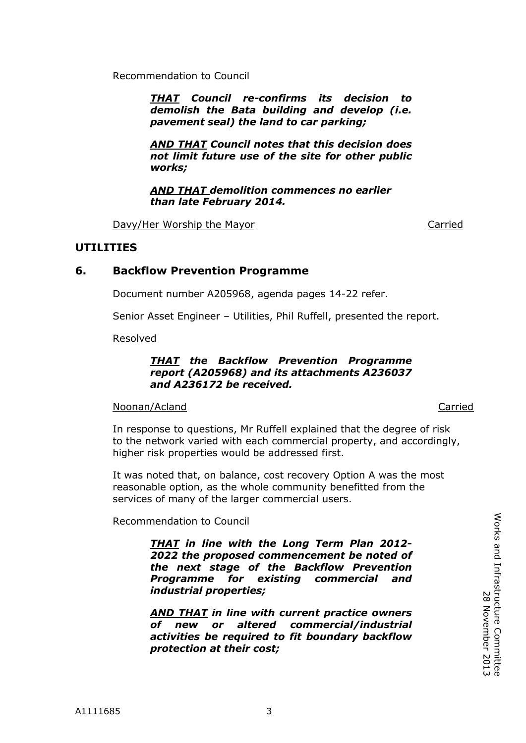Recommendation to Council

*THAT Council re-confirms its decision to demolish the Bata building and develop (i.e. pavement seal) the land to car parking;*

*AND THAT Council notes that this decision does not limit future use of the site for other public works;*

*AND THAT demolition commences no earlier than late February 2014.*

Davy/Her Worship the Mayor Carried

## **UTILITIES**

## **6. Backflow Prevention Programme**

Document number A205968, agenda pages 14-22 refer.

Senior Asset Engineer – Utilities, Phil Ruffell, presented the report.

Resolved

#### *THAT the Backflow Prevention Programme report (A205968) and its attachments A236037 and A236172 be received.*

#### Noonan/Acland Carried Carried Carried Carried Carried Carried Carried Carried Carried Carried Carried Carried

In response to questions, Mr Ruffell explained that the degree of risk to the network varied with each commercial property, and accordingly, higher risk properties would be addressed first.

It was noted that, on balance, cost recovery Option A was the most reasonable option, as the whole community benefitted from the services of many of the larger commercial users.

Recommendation to Council

*THAT in line with the Long Term Plan 2012- 2022 the proposed commencement be noted of the next stage of the Backflow Prevention Programme for existing commercial and industrial properties;*

*AND THAT in line with current practice owners of new or altered commercial/industrial activities be required to fit boundary backflow protection at their cost;*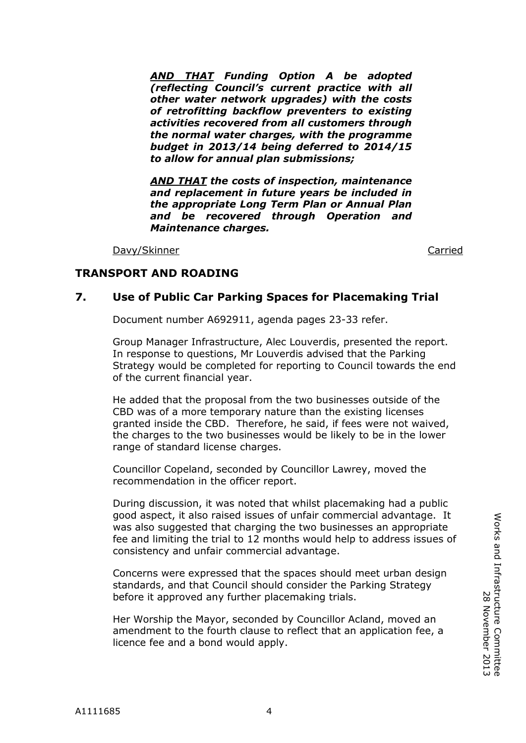A1111685 4

*AND THAT Funding Option A be adopted (reflecting Council's current practice with all other water network upgrades) with the costs of retrofitting backflow preventers to existing activities recovered from all customers through the normal water charges, with the programme budget in 2013/14 being deferred to 2014/15 to allow for annual plan submissions;*

*AND THAT the costs of inspection, maintenance and replacement in future years be included in the appropriate Long Term Plan or Annual Plan and be recovered through Operation and Maintenance charges.*

Davy/Skinner Carried Carried Communication of the Carried Carried Carried Carried Carried Carried Carried Carried Carried Carried Carried Carried Carried Carried Carried Carried Carried Carried Carried Carried Carried Carr

# **TRANSPORT AND ROADING**

## **7. Use of Public Car Parking Spaces for Placemaking Trial**

Document number A692911, agenda pages 23-33 refer.

Group Manager Infrastructure, Alec Louverdis, presented the report. In response to questions, Mr Louverdis advised that the Parking Strategy would be completed for reporting to Council towards the end of the current financial year.

He added that the proposal from the two businesses outside of the CBD was of a more temporary nature than the existing licenses granted inside the CBD. Therefore, he said, if fees were not waived, the charges to the two businesses would be likely to be in the lower range of standard license charges.

Councillor Copeland, seconded by Councillor Lawrey, moved the recommendation in the officer report.

During discussion, it was noted that whilst placemaking had a public good aspect, it also raised issues of unfair commercial advantage. It was also suggested that charging the two businesses an appropriate fee and limiting the trial to 12 months would help to address issues of consistency and unfair commercial advantage.

Concerns were expressed that the spaces should meet urban design standards, and that Council should consider the Parking Strategy before it approved any further placemaking trials.

Her Worship the Mayor, seconded by Councillor Acland, moved an amendment to the fourth clause to reflect that an application fee, a licence fee and a bond would apply.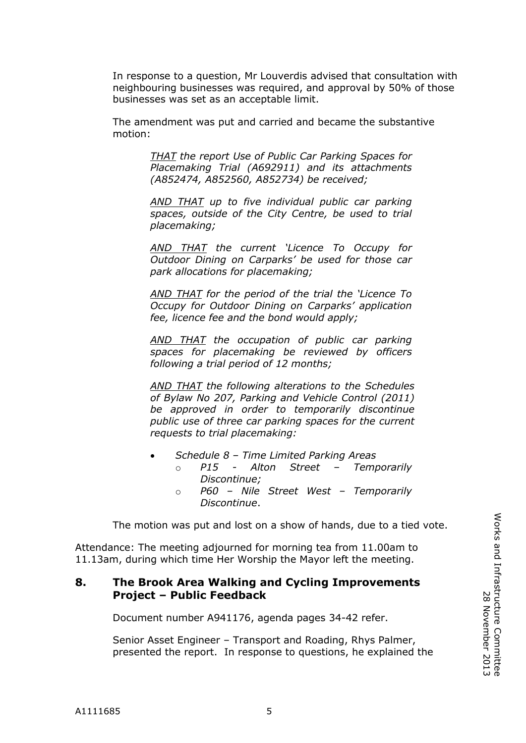In response to a question, Mr Louverdis advised that consultation with neighbouring businesses was required, and approval by 50% of those businesses was set as an acceptable limit.

The amendment was put and carried and became the substantive motion:

> *THAT the report Use of Public Car Parking Spaces for Placemaking Trial (A692911) and its attachments (A852474, A852560, A852734) be received;*

> *AND THAT up to five individual public car parking spaces, outside of the City Centre, be used to trial placemaking;*

> *AND THAT the current 'Licence To Occupy for Outdoor Dining on Carparks' be used for those car park allocations for placemaking;*

> *AND THAT for the period of the trial the 'Licence To Occupy for Outdoor Dining on Carparks' application fee, licence fee and the bond would apply;*

> *AND THAT the occupation of public car parking spaces for placemaking be reviewed by officers following a trial period of 12 months;*

> *AND THAT the following alterations to the Schedules of Bylaw No 207, Parking and Vehicle Control (2011) be approved in order to temporarily discontinue public use of three car parking spaces for the current requests to trial placemaking:*

- *Schedule 8 – Time Limited Parking Areas* o *P15 - Alton Street – Temporarily* 
	- *Discontinue;* o *P60 – Nile Street West – Temporarily Discontinue*.

The motion was put and lost on a show of hands, due to a tied vote.

Attendance: The meeting adjourned for morning tea from 11.00am to 11.13am, during which time Her Worship the Mayor left the meeting.

## **8. The Brook Area Walking and Cycling Improvements Project – Public Feedback**

Document number A941176, agenda pages 34-42 refer.

Senior Asset Engineer – Transport and Roading, Rhys Palmer, presented the report. In response to questions, he explained the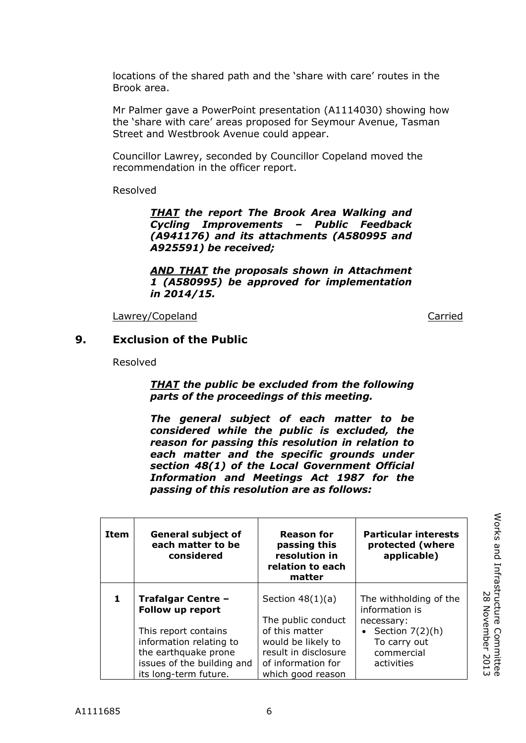locations of the shared path and the 'share with care' routes in the Brook area.

Mr Palmer gave a PowerPoint presentation (A1114030) showing how the 'share with care' areas proposed for Seymour Avenue, Tasman Street and Westbrook Avenue could appear.

Councillor Lawrey, seconded by Councillor Copeland moved the recommendation in the officer report.

Resolved

*THAT the report The Brook Area Walking and Cycling Improvements – Public Feedback (A941176) and its attachments (A580995 and A925591) be received;*

*AND THAT the proposals shown in Attachment 1 (A580995) be approved for implementation in 2014/15.*

Lawrey/Copeland **Carried** Carried Carried Carried Carried Carried Carried Carried Carried Carried Carried Carried

#### **9. Exclusion of the Public**

Resolved

*THAT the public be excluded from the following parts of the proceedings of this meeting.*

*The general subject of each matter to be considered while the public is excluded, the reason for passing this resolution in relation to each matter and the specific grounds under section 48(1) of the Local Government Official Information and Meetings Act 1987 for the passing of this resolution are as follows:*

| Item | <b>General subject of</b><br>each matter to be<br>considered                                                      | <b>Reason for</b><br>passing this<br>resolution in<br>relation to each<br>matter                         | <b>Particular interests</b><br>protected (where<br>applicable)                                              |
|------|-------------------------------------------------------------------------------------------------------------------|----------------------------------------------------------------------------------------------------------|-------------------------------------------------------------------------------------------------------------|
| 1    | Trafalgar Centre -<br>Follow up report<br>This report contains<br>information relating to<br>the earthquake prone | Section $48(1)(a)$<br>The public conduct<br>of this matter<br>would be likely to<br>result in disclosure | The withholding of the<br>information is<br>necessary:<br>• Section $7(2)(h)$<br>To carry out<br>commercial |
|      | issues of the building and<br>its long-term future.                                                               | of information for<br>which good reason                                                                  | activities                                                                                                  |